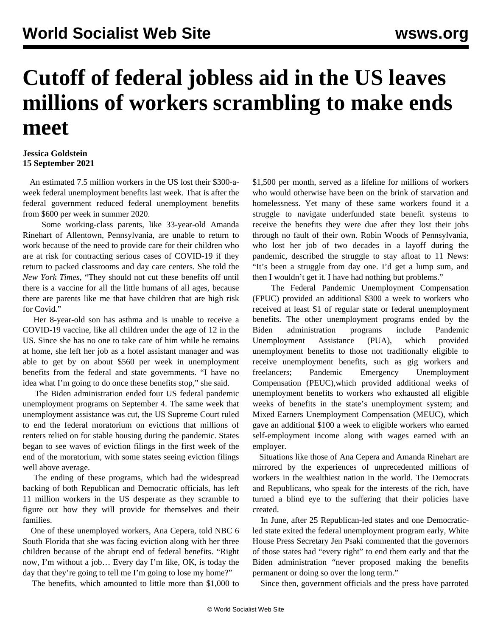## **Cutoff of federal jobless aid in the US leaves millions of workers scrambling to make ends meet**

## **Jessica Goldstein 15 September 2021**

 An estimated 7.5 million workers in the US lost their \$300-aweek federal unemployment benefits last week. That is after the federal government reduced federal unemployment benefits from \$600 per week in summer 2020.

 Some working-class parents, like 33-year-old Amanda Rinehart of Allentown, Pennsylvania, are unable to return to work because of the need to provide care for their children who are at risk for contracting serious cases of COVID-19 if they return to packed classrooms and day care centers. She told the *New York Times*, "They should not cut these benefits off until there is a vaccine for all the little humans of all ages, because there are parents like me that have children that are high risk for Covid."

 Her 8-year-old son has asthma and is unable to receive a COVID-19 vaccine, like all children under the age of 12 in the US. Since she has no one to take care of him while he remains at home, she left her job as a hotel assistant manager and was able to get by on about \$560 per week in unemployment benefits from the federal and state governments. "I have no idea what I'm going to do once these benefits stop," she said.

 The Biden administration [ended four US federal pandemic](/en/articles/2021/09/03/unem-s03.html) [unemployment programs](/en/articles/2021/09/03/unem-s03.html) on September 4. The same week that unemployment assistance was cut, the US Supreme Court ruled to end the federal moratorium on evictions that millions of renters relied on for stable housing during the pandemic. States began to see [waves of eviction filings](/en/articles/2021/09/13/evic-s13.html) in the first week of the end of the moratorium, with some states seeing eviction filings well above average.

 The ending of these programs, which had the widespread backing of both Republican and Democratic officials, has left 11 million workers in the US desperate as they scramble to figure out how they will provide for themselves and their families.

 One of these unemployed workers, Ana Cepera, told NBC 6 South Florida that she was facing eviction along with her three children because of the abrupt end of federal benefits. "Right now, I'm without a job… Every day I'm like, OK, is today the day that they're going to tell me I'm going to lose my home?"

The benefits, which amounted to little more than \$1,000 to

\$1,500 per month, served as a lifeline for millions of workers who would otherwise have been on the brink of starvation and homelessness. Yet many of these same workers found it a struggle to navigate underfunded state benefit systems to receive the benefits they were due after they lost their jobs through no fault of their own. Robin Woods of Pennsylvania, who lost her job of two decades in a layoff during the pandemic, described the struggle to stay afloat to 11 News: "It's been a struggle from day one. I'd get a lump sum, and then I wouldn't get it. I have had nothing but problems."

 The Federal Pandemic Unemployment Compensation (FPUC) provided an additional \$300 a week to workers who received at least \$1 of regular state or federal unemployment benefits. The other unemployment programs ended by the Biden administration programs include Pandemic Unemployment Assistance (PUA), which provided unemployment benefits to those not traditionally eligible to receive unemployment benefits, such as gig workers and freelancers; Pandemic Emergency Unemployment Compensation (PEUC),which provided additional weeks of unemployment benefits to workers who exhausted all eligible weeks of benefits in the state's unemployment system; and Mixed Earners Unemployment Compensation (MEUC), which gave an additional \$100 a week to eligible workers who earned self-employment income along with wages earned with an employer.

 Situations like those of Ana Cepera and Amanda Rinehart are mirrored by the experiences of unprecedented millions of workers in the wealthiest nation in the world. The Democrats and Republicans, who speak for the interests of the rich, have turned a blind eye to the suffering that their policies have created.

 In June, after 25 Republican-led states and one Democraticled state exited the federal unemployment program early, White House Press Secretary Jen Psaki commented that the governors of those states had "every right" to end them early and that the Biden administration "never proposed making the benefits permanent or doing so over the long term."

Since then, government officials and the press have parroted